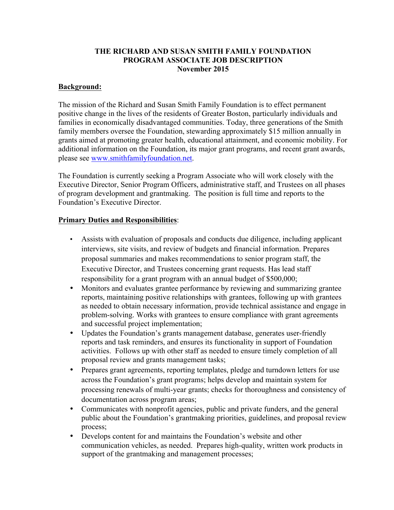## **THE RICHARD AND SUSAN SMITH FAMILY FOUNDATION PROGRAM ASSOCIATE JOB DESCRIPTION November 2015**

## **Background:**

The mission of the Richard and Susan Smith Family Foundation is to effect permanent positive change in the lives of the residents of Greater Boston, particularly individuals and families in economically disadvantaged communities. Today, three generations of the Smith family members oversee the Foundation, stewarding approximately \$15 million annually in grants aimed at promoting greater health, educational attainment, and economic mobility. For additional information on the Foundation, its major grant programs, and recent grant awards, please see www.smithfamilyfoundation.net.

The Foundation is currently seeking a Program Associate who will work closely with the Executive Director, Senior Program Officers, administrative staff, and Trustees on all phases of program development and grantmaking. The position is full time and reports to the Foundation's Executive Director.

## **Primary Duties and Responsibilities**:

- Assists with evaluation of proposals and conducts due diligence, including applicant interviews, site visits, and review of budgets and financial information. Prepares proposal summaries and makes recommendations to senior program staff, the Executive Director, and Trustees concerning grant requests. Has lead staff responsibility for a grant program with an annual budget of \$500,000;
- Monitors and evaluates grantee performance by reviewing and summarizing grantee reports, maintaining positive relationships with grantees, following up with grantees as needed to obtain necessary information, provide technical assistance and engage in problem-solving. Works with grantees to ensure compliance with grant agreements and successful project implementation;
- Updates the Foundation's grants management database, generates user-friendly reports and task reminders, and ensures its functionality in support of Foundation activities. Follows up with other staff as needed to ensure timely completion of all proposal review and grants management tasks;
- Prepares grant agreements, reporting templates, pledge and turndown letters for use across the Foundation's grant programs; helps develop and maintain system for processing renewals of multi-year grants; checks for thoroughness and consistency of documentation across program areas;
- Communicates with nonprofit agencies, public and private funders, and the general public about the Foundation's grantmaking priorities, guidelines, and proposal review process;
- Develops content for and maintains the Foundation's website and other communication vehicles, as needed. Prepares high-quality, written work products in support of the grantmaking and management processes;